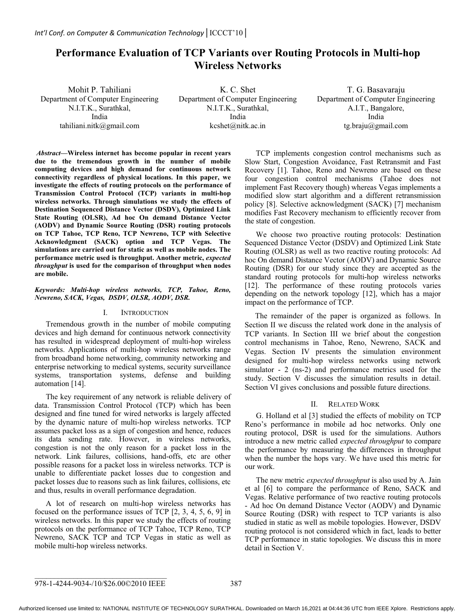# **Performance Evaluation of TCP Variants over Routing Protocols in Multi-hop Wireless Networks**

Mohit P. Tahiliani Department of Computer Engineering N.I.T.K., Surathkal, India tahiliani.nitk@gmail.com K. C. Shet Department of Computer Engineering N.I.T.K., Surathkal, India kcshet@nitk.ac.in T. G. Basavaraju Department of Computer Engineering A.I.T., Bangalore, India tg.braju@gmail.com

*Abstract***—Wireless internet has become popular in recent years due to the tremendous growth in the number of mobile computing devices and high demand for continuous network connectivity regardless of physical locations. In this paper, we investigate the effects of routing protocols on the performance of Transmission Control Protocol (TCP) variants in multi-hop wireless networks. Through simulations we study the effects of Destination Sequenced Distance Vector (DSDV), Optimized Link State Routing (OLSR), Ad hoc On demand Distance Vector (AODV) and Dynamic Source Routing (DSR) routing protocols on TCP Tahoe, TCP Reno, TCP Newreno, TCP with Selective Acknowledgment (SACK) option and TCP Vegas. The simulations are carried out for static as well as mobile nodes. The performance metric used is throughput. Another metric,** *expected throughput* **is used for the comparison of throughput when nodes are mobile.** 

# *Keywords: Multi-hop wireless networks, TCP, Tahoe, Reno, Newreno, SACK, Vegas, DSDV, OLSR, AODV, DSR.*

# I. INTRODUCTION

Tremendous growth in the number of mobile computing devices and high demand for continuous network connectivity has resulted in widespread deployment of multi-hop wireless networks. Applications of multi-hop wireless networks range from broadband home networking, community networking and enterprise networking to medical systems, security surveillance systems, transportation systems, defense and building automation [14].

The key requirement of any network is reliable delivery of data. Transmission Control Protocol (TCP) which has been designed and fine tuned for wired networks is largely affected by the dynamic nature of multi-hop wireless networks. TCP assumes packet loss as a sign of congestion and hence, reduces its data sending rate. However, in wireless networks, congestion is not the only reason for a packet loss in the network. Link failures, collisions, hand-offs, etc are other possible reasons for a packet loss in wireless networks. TCP is unable to differentiate packet losses due to congestion and packet losses due to reasons such as link failures, collisions, etc and thus, results in overall performance degradation.

A lot of research on multi-hop wireless networks has focused on the performance issues of TCP [2, 3, 4, 5, 6, 9] in wireless networks. In this paper we study the effects of routing protocols on the performance of TCP Tahoe, TCP Reno, TCP Newreno, SACK TCP and TCP Vegas in static as well as mobile multi-hop wireless networks.

TCP implements congestion control mechanisms such as Slow Start, Congestion Avoidance, Fast Retransmit and Fast Recovery [1]. Tahoe, Reno and Newreno are based on these four congestion control mechanisms (Tahoe does not implement Fast Recovery though) whereas Vegas implements a modified slow start algorithm and a different retransmission policy [8]. Selective acknowledgment (SACK) [7] mechanism modifies Fast Recovery mechanism to efficiently recover from the state of congestion.

We choose two proactive routing protocols: Destination Sequenced Distance Vector (DSDV) and Optimized Link State Routing (OLSR) as well as two reactive routing protocols: Ad hoc On demand Distance Vector (AODV) and Dynamic Source Routing (DSR) for our study since they are accepted as the standard routing protocols for multi-hop wireless networks [12]. The performance of these routing protocols varies depending on the network topology [12], which has a major impact on the performance of TCP.

The remainder of the paper is organized as follows. In Section II we discuss the related work done in the analysis of TCP variants. In Section III we brief about the congestion control mechanisms in Tahoe, Reno, Newreno, SACK and Vegas. Section IV presents the simulation environment designed for multi-hop wireless networks using network simulator - 2 (ns-2) and performance metrics used for the study. Section V discusses the simulation results in detail. Section VI gives conclusions and possible future directions.

# II. RELATED WORK

G. Holland et al [3] studied the effects of mobility on TCP Reno's performance in mobile ad hoc networks. Only one routing protocol, DSR is used for the simulations. Authors introduce a new metric called *expected throughput* to compare the performance by measuring the differences in throughput when the number the hops vary. We have used this metric for our work.

The new metric *expected throughput* is also used by A. Jain et al [6] to compare the performance of Reno, SACK and Vegas. Relative performance of two reactive routing protocols - Ad hoc On demand Distance Vector (AODV) and Dynamic Source Routing (DSR) with respect to TCP variants is also studied in static as well as mobile topologies. However, DSDV routing protocol is not considered which in fact, leads to better TCP performance in static topologies. We discuss this in more detail in Section V.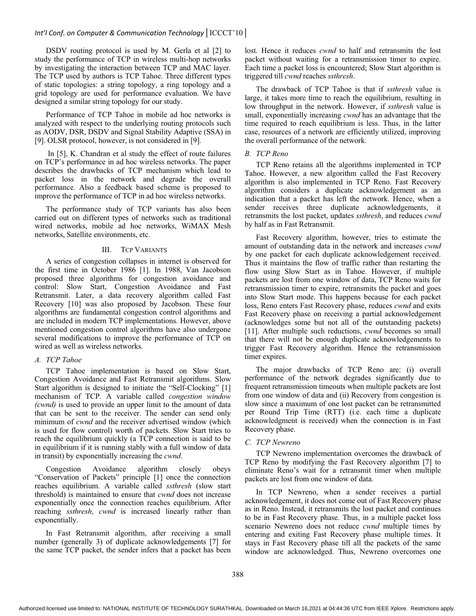DSDV routing protocol is used by M. Gerla et al [2] to study the performance of TCP in wireless multi-hop networks by investigating the interaction between TCP and MAC layer. The TCP used by authors is TCP Tahoe. Three different types of static topologies: a string topology, a ring topology and a grid topology are used for performance evaluation. We have designed a similar string topology for our study.

Performance of TCP Tahoe in mobile ad hoc networks is analyzed with respect to the underlying routing protocols such as AODV, DSR, DSDV and Signal Stability Adaptive (SSA) in [9]. OLSR protocol, however, is not considered in [9].

In [5], K. Chandran et al study the effect of route failures on TCP's performance in ad hoc wireless networks. The paper describes the drawbacks of TCP mechanism which lead to packet loss in the network and degrade the overall performance. Also a feedback based scheme is proposed to improve the performance of TCP in ad hoc wireless networks.

The performance study of TCP variants has also been carried out on different types of networks such as traditional wired networks, mobile ad hoc networks, WiMAX Mesh networks, Satellite environments, etc.

# III. TCP VARIANTS

A series of congestion collapses in internet is observed for the first time in October 1986 [1]. In 1988, Van Jacobson proposed three algorithms for congestion avoidance and control: Slow Start, Congestion Avoidance and Fast Retransmit. Later, a data recovery algorithm called Fast Recovery [10] was also proposed by Jacobson. These four algorithms are fundamental congestion control algorithms and are included in modern TCP implementations. However, above mentioned congestion control algorithms have also undergone several modifications to improve the performance of TCP on wired as well as wireless networks.

# *A. TCP Tahoe*

TCP Tahoe implementation is based on Slow Start, Congestion Avoidance and Fast Retransmit algorithms. Slow Start algorithm is designed to initiate the "Self-Clocking" [1] mechanism of TCP. A variable called *congestion window (cwnd)* is used to provide an upper limit to the amount of data that can be sent to the receiver. The sender can send only minimum of *cwnd* and the receiver advertised window (which is used for flow control) worth of packets. Slow Start tries to reach the equilibrium quickly (a TCP connection is said to be in equilibrium if it is running stably with a full window of data in transit) by exponentially increasing the *cwnd*.

Congestion Avoidance algorithm closely obeys "Conservation of Packets" principle [1] once the connection reaches equilibrium. A variable called *ssthresh* (slow start threshold) is maintained to ensure that *cwnd* does not increase exponentially once the connection reaches equilibrium. After reaching *ssthresh*, *cwnd* is increased linearly rather than exponentially.

In Fast Retransmit algorithm, after receiving a small number (generally 3) of duplicate acknowledgements [7] for the same TCP packet, the sender infers that a packet has been lost. Hence it reduces *cwnd* to half and retransmits the lost packet without waiting for a retransmission timer to expire. Each time a packet loss is encountered; Slow Start algorithm is triggered till *cwnd* reaches *ssthresh*.

The drawback of TCP Tahoe is that if *ssthresh* value is large, it takes more time to reach the equilibrium, resulting in low throughput in the network. However, if *ssthresh* value is small, exponentially increasing *cwnd* has an advantage that the time required to reach equilibrium is less. Thus, in the latter case, resources of a network are efficiently utilized, improving the overall performance of the network.

## *B. TCP Reno*

TCP Reno retains all the algorithms implemented in TCP Tahoe. However, a new algorithm called the Fast Recovery algorithm is also implemented in TCP Reno. Fast Recovery algorithm considers a duplicate acknowledgement as an indication that a packet has left the network. Hence, when a sender receives three duplicate acknowledgements, it retransmits the lost packet, updates *ssthresh*, and reduces *cwnd* by half as in Fast Retransmit.

Fast Recovery algorithm, however, tries to estimate the amount of outstanding data in the network and increases *cwnd* by one packet for each duplicate acknowledgement received. Thus it maintains the flow of traffic rather than restarting the flow using Slow Start as in Tahoe. However, if multiple packets are lost from one window of data, TCP Reno waits for retransmission timer to expire, retransmits the packet and goes into Slow Start mode. This happens because for each packet loss, Reno enters Fast Recovery phase, reduces *cwnd* and exits Fast Recovery phase on receiving a partial acknowledgement (acknowledges some but not all of the outstanding packets) [11]. After multiple such reductions, *cwnd* becomes so small that there will not be enough duplicate acknowledgements to trigger Fast Recovery algorithm. Hence the retransmission timer expires.

The major drawbacks of TCP Reno are: (i) overall performance of the network degrades significantly due to frequent retransmission timeouts when multiple packets are lost from one window of data and (ii) Recovery from congestion is slow since a maximum of one lost packet can be retransmitted per Round Trip Time (RTT) (i.e. each time a duplicate acknowledgment is received) when the connection is in Fast Recovery phase.

# *C. TCP Newreno*

TCP Newreno implementation overcomes the drawback of TCP Reno by modifying the Fast Recovery algorithm [7] to eliminate Reno's wait for a retransmit timer when multiple packets are lost from one window of data.

In TCP Newreno, when a sender receives a partial acknowledgement, it does not come out of Fast Recovery phase as in Reno. Instead, it retransmits the lost packet and continues to be in Fast Recovery phase. Thus, in a multiple packet loss scenario Newreno does not reduce *cwnd* multiple times by entering and exiting Fast Recovery phase multiple times. It stays in Fast Recovery phase till all the packets of the same window are acknowledged. Thus, Newreno overcomes one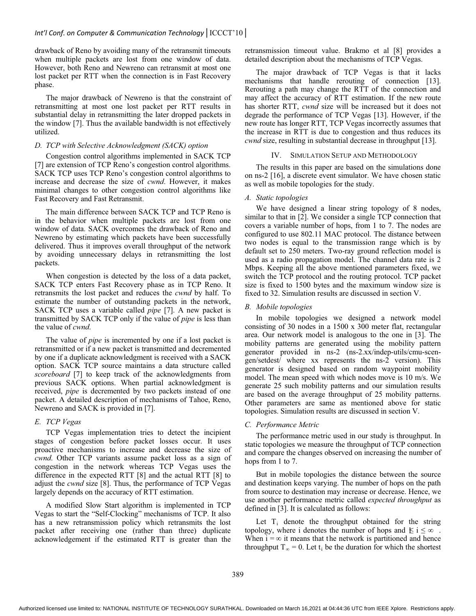drawback of Reno by avoiding many of the retransmit timeouts when multiple packets are lost from one window of data. However, both Reno and Newreno can retransmit at most one lost packet per RTT when the connection is in Fast Recovery phase.

The major drawback of Newreno is that the constraint of retransmitting at most one lost packet per RTT results in substantial delay in retransmitting the later dropped packets in the window [7]. Thus the available bandwidth is not effectively utilized.

# *D. TCP with Selective Acknowledgment (SACK) option*

Congestion control algorithms implemented in SACK TCP [7] are extension of TCP Reno's congestion control algorithms. SACK TCP uses TCP Reno's congestion control algorithms to increase and decrease the size of *cwnd*. However, it makes minimal changes to other congestion control algorithms like Fast Recovery and Fast Retransmit.

The main difference between SACK TCP and TCP Reno is in the behavior when multiple packets are lost from one window of data. SACK overcomes the drawback of Reno and Newreno by estimating which packets have been successfully delivered. Thus it improves overall throughput of the network by avoiding unnecessary delays in retransmitting the lost packets.

When congestion is detected by the loss of a data packet, SACK TCP enters Fast Recovery phase as in TCP Reno. It retransmits the lost packet and reduces the *cwnd* by half. To estimate the number of outstanding packets in the network, SACK TCP uses a variable called *pipe* [7]. A new packet is transmitted by SACK TCP only if the value of *pipe* is less than the value of *cwnd*.

The value of *pipe* is incremented by one if a lost packet is retransmitted or if a new packet is transmitted and decremented by one if a duplicate acknowledgment is received with a SACK option. SACK TCP source maintains a data structure called *scoreboard* [7] to keep track of the acknowledgments from previous SACK options. When partial acknowledgment is received, *pipe* is decremented by two packets instead of one packet. A detailed description of mechanisms of Tahoe, Reno, Newreno and SACK is provided in [7].

# *E. TCP Vegas*

TCP Vegas implementation tries to detect the incipient stages of congestion before packet losses occur. It uses proactive mechanisms to increase and decrease the size of *cwnd*. Other TCP variants assume packet loss as a sign of congestion in the network whereas TCP Vegas uses the difference in the expected RTT [8] and the actual RTT [8] to adjust the *cwnd* size [8]. Thus, the performance of TCP Vegas largely depends on the accuracy of RTT estimation.

A modified Slow Start algorithm is implemented in TCP Vegas to start the "Self-Clocking" mechanisms of TCP. It also has a new retransmission policy which retransmits the lost packet after receiving one (rather than three) duplicate acknowledgement if the estimated RTT is greater than the

retransmission timeout value. Brakmo et al [8] provides a detailed description about the mechanisms of TCP Vegas.

The major drawback of TCP Vegas is that it lacks mechanisms that handle rerouting of connection [13]. Rerouting a path may change the RTT of the connection and may affect the accuracy of RTT estimation. If the new route has shorter RTT, *cwnd* size will be increased but it does not degrade the performance of TCP Vegas [13]. However, if the new route has longer RTT, TCP Vegas incorrectly assumes that the increase in RTT is due to congestion and thus reduces its *cwnd* size, resulting in substantial decrease in throughput [13].

#### IV. SIMULATION SETUP AND METHODOLOGY

The results in this paper are based on the simulations done on ns-2 [16], a discrete event simulator. We have chosen static as well as mobile topologies for the study.

# *A. Static topologies*

We have designed a linear string topology of 8 nodes, similar to that in [2]. We consider a single TCP connection that covers a variable number of hops, from 1 to 7. The nodes are configured to use 802.11 MAC protocol. The distance between two nodes is equal to the transmission range which is by default set to 250 meters. Two-ray ground reflection model is used as a radio propagation model. The channel data rate is 2 Mbps. Keeping all the above mentioned parameters fixed, we switch the TCP protocol and the routing protocol. TCP packet size is fixed to 1500 bytes and the maximum window size is fixed to 32. Simulation results are discussed in section V.

## *B. Mobile topologies*

In mobile topologies we designed a network model consisting of 30 nodes in a 1500 x 300 meter flat, rectangular area. Our network model is analogous to the one in [3]. The mobility patterns are generated using the mobility pattern generator provided in ns-2 (ns-2.xx/indep-utils/cmu-scengen/setdest/ where xx represents the ns-2 version). This generator is designed based on random waypoint mobility model. The mean speed with which nodes move is 10 m/s. We generate 25 such mobility patterns and our simulation results are based on the average throughput of 25 mobility patterns. Other parameters are same as mentioned above for static topologies. Simulation results are discussed in section V.

#### *C. Performance Metric*

The performance metric used in our study is throughput. In static topologies we measure the throughput of TCP connection and compare the changes observed on increasing the number of hops from 1 to 7.

But in mobile topologies the distance between the source and destination keeps varying. The number of hops on the path from source to destination may increase or decrease. Hence, we use another performance metric called *expected throughput* as defined in [3]. It is calculated as follows:

Let  $T_i$  denote the throughput obtained for the string topology, where i denotes the number of hops and  $\leq i \leq \infty$ . When  $i = \infty$  it means that the network is partitioned and hence throughput  $T_{\infty} = 0$ . Let t<sub>i</sub> be the duration for which the shortest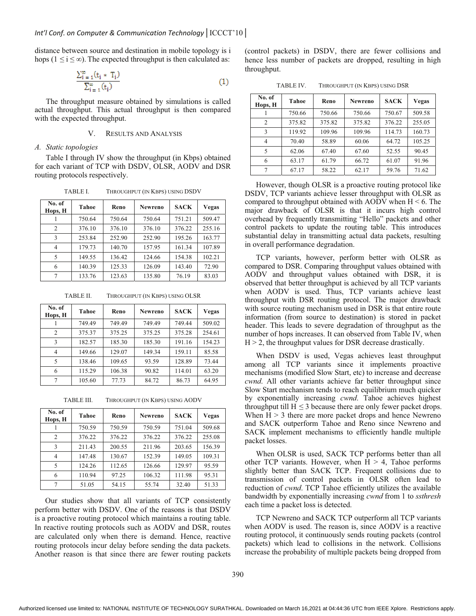distance between source and destination in mobile topology is i hops  $(1 \le i \le \infty)$ . The expected throughput is then calculated as:

$$
\frac{\sum_{i=1}^{n} (t_i * T_i)}{\sum_{i=1}^{n} (t_i)}\tag{1}
$$

The throughput measure obtained by simulations is called actual throughput. This actual throughput is then compared with the expected throughput.

# V. RESULTS AND ANALYSIS

#### *A. Static topologies*

Table I through IV show the throughput (in Kbps) obtained for each variant of TCP with DSDV, OLSR, AODV and DSR routing protocols respectively.

TABLE I. THROUGHPUT (IN KBPS) USING DSDV

| No. of<br>Hops, H | Tahoe  | Reno   | <b>Newreno</b> | <b>SACK</b> | Vegas  |
|-------------------|--------|--------|----------------|-------------|--------|
|                   | 750.64 | 750.64 | 750.64         | 751.21      | 509.47 |
| $\mathfrak{D}$    | 376.10 | 376.10 | 376.10         | 376.22      | 255.16 |
| 3                 | 253.84 | 252.90 | 252.90         | 195.26      | 163.77 |
| 4                 | 179.73 | 140.70 | 157.95         | 161.34      | 107.89 |
| 5                 | 149.55 | 136.42 | 124.66         | 154.38      | 102.21 |
| 6                 | 140.39 | 125.33 | 126.09         | 143.40      | 72.90  |
| 7                 | 133.76 | 123.63 | 135.80         | 76.19       | 83.03  |

TABLE II. THROUGHPUT (IN KBPS) USING OLSR

| No. of<br>Hops, H | Tahoe  | Reno   | <b>Newreno</b> | <b>SACK</b> | Vegas  |
|-------------------|--------|--------|----------------|-------------|--------|
|                   | 749.49 | 749.49 | 749.49         | 749.44      | 509.02 |
| $\mathfrak{D}$    | 375.37 | 375.25 | 375.25         | 375.28      | 254.61 |
| 3                 | 182.57 | 185.30 | 185.30         | 191.16      | 154.23 |
| 4                 | 149.66 | 129.07 | 149.34         | 159.11      | 85.58  |
| 5                 | 138.46 | 109.65 | 93.59          | 128.89      | 73.44  |
| 6                 | 115.29 | 106.38 | 90.82          | 114.01      | 63.20  |
|                   | 105.60 | 77.73  | 84.72          | 86.73       | 64.95  |

TABLE III. THROUGHPUT (IN KBPS) USING AODV

| No. of<br>Hops, H | Tahoe  | Reno   | Newreno | <b>SACK</b> | Vegas  |
|-------------------|--------|--------|---------|-------------|--------|
|                   | 750.59 | 750.59 | 750.59  | 751.04      | 509.68 |
| 2                 | 376.22 | 376.22 | 376.22  | 376.22      | 255.08 |
| 3                 | 211.43 | 200.55 | 211.96  | 203.65      | 156.39 |
| 4                 | 147.48 | 130.67 | 152.39  | 149.05      | 109.31 |
| 5                 | 124.26 | 112.65 | 126.66  | 129.97      | 95.59  |
| 6                 | 110.94 | 97.25  | 106.32  | 111.98      | 95.31  |
| 7                 | 51.05  | 54.15  | 55.74   | 32.40       | 51.33  |

Our studies show that all variants of TCP consistently perform better with DSDV. One of the reasons is that DSDV is a proactive routing protocol which maintains a routing table. In reactive routing protocols such as AODV and DSR, routes are calculated only when there is demand. Hence, reactive routing protocols incur delay before sending the data packets. Another reason is that since there are fewer routing packets (control packets) in DSDV, there are fewer collisions and hence less number of packets are dropped, resulting in high throughput.

TABLE IV. THROUGHPUT (IN KBPS) USING DSR

| No. of<br>Hops, H | Tahoe  | Reno   | <b>Newreno</b> | <b>SACK</b> | Vegas  |
|-------------------|--------|--------|----------------|-------------|--------|
|                   | 750.66 | 750.66 | 750.66         | 750.67      | 509.58 |
| 2                 | 375.82 | 375.82 | 375.82         | 376.22      | 255.05 |
| 3                 | 119.92 | 109.96 | 109.96         | 114.73      | 160.73 |
| 4                 | 70.40  | 58.89  | 60.06          | 64.72       | 105.25 |
| 5                 | 62.06  | 67.40  | 67.60          | 52.55       | 90.45  |
| 6                 | 63.17  | 61.79  | 66.72          | 61.07       | 91.96  |
| 7                 | 67.17  | 58.22  | 62.17          | 59.76       | 71.62  |

However, though OLSR is a proactive routing protocol like DSDV, TCP variants achieve lesser throughput with OLSR as compared to throughput obtained with AODV when  $H < 6$ . The major drawback of OLSR is that it incurs high control overhead by frequently transmitting "Hello" packets and other control packets to update the routing table. This introduces substantial delay in transmitting actual data packets, resulting in overall performance degradation.

TCP variants, however, perform better with OLSR as compared to DSR. Comparing throughput values obtained with AODV and throughput values obtained with DSR, it is observed that better throughput is achieved by all TCP variants when AODV is used. Thus, TCP variants achieve least throughput with DSR routing protocol. The major drawback with source routing mechanism used in DSR is that entire route information (from source to destination) is stored in packet header. This leads to severe degradation of throughput as the number of hops increases. It can observed from Table IV, when  $H > 2$ , the throughput values for DSR decrease drastically.

When DSDV is used, Vegas achieves least throughput among all TCP variants since it implements proactive mechanisms (modified Slow Start, etc) to increase and decrease *cwnd*. All other variants achieve far better throughput since Slow Start mechanism tends to reach equilibrium much quicker by exponentially increasing *cwnd*. Tahoe achieves highest throughput till  $H \leq 3$  because there are only fewer packet drops. When  $H > 3$  there are more packet drops and hence Newreno and SACK outperform Tahoe and Reno since Newreno and SACK implement mechanisms to efficiently handle multiple packet losses.

When OLSR is used, SACK TCP performs better than all other TCP variants. However, when  $H > 4$ , Tahoe performs slightly better than SACK TCP. Frequent collisions due to transmission of control packets in OLSR often lead to reduction of *cwnd*. TCP Tahoe efficiently utilizes the available bandwidth by exponentially increasing *cwnd* from 1 to *ssthresh*  each time a packet loss is detected.

TCP Newreno and SACK TCP outperform all TCP variants when AODV is used. The reason is, since AODV is a reactive routing protocol, it continuously sends routing packets (control packets) which lead to collisions in the network. Collisions increase the probability of multiple packets being dropped from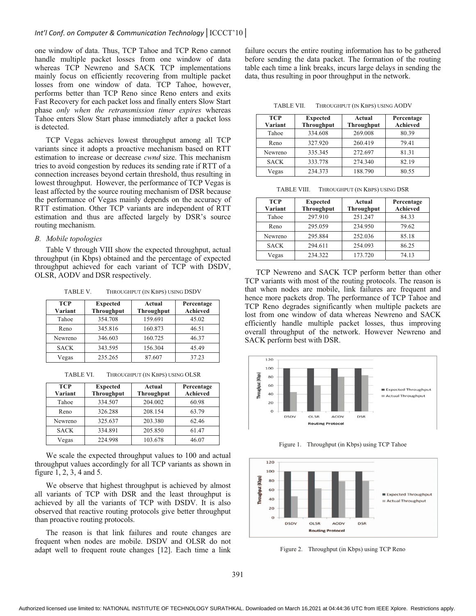one window of data. Thus, TCP Tahoe and TCP Reno cannot handle multiple packet losses from one window of data whereas TCP Newreno and SACK TCP implementations mainly focus on efficiently recovering from multiple packet losses from one window of data. TCP Tahoe, however, performs better than TCP Reno since Reno enters and exits Fast Recovery for each packet loss and finally enters Slow Start phase *only when the retransmission timer expires* whereas Tahoe enters Slow Start phase immediately after a packet loss is detected.

TCP Vegas achieves lowest throughput among all TCP variants since it adopts a proactive mechanism based on RTT estimation to increase or decrease *cwnd* size. This mechanism tries to avoid congestion by reduces its sending rate if RTT of a connection increases beyond certain threshold, thus resulting in lowest throughput. However, the performance of TCP Vegas is least affected by the source routing mechanism of DSR because the performance of Vegas mainly depends on the accuracy of RTT estimation. Other TCP variants are independent of RTT estimation and thus are affected largely by DSR's source routing mechanism.

# *B. Mobile topologies*

Table V through VIII show the expected throughput, actual throughput (in Kbps) obtained and the percentage of expected throughput achieved for each variant of TCP with DSDV, OLSR, AODV and DSR respectively.

TABLE V. THROUGHPUT (IN KBPS) USING DSDV

| <b>TCP</b><br>Variant | <b>Expected</b><br><b>Throughput</b> | Actual<br><b>Throughput</b> | Percentage<br>Achieved |
|-----------------------|--------------------------------------|-----------------------------|------------------------|
| Tahoe                 | 354.708                              | 159.691                     | 45.02                  |
| Reno                  | 345.816                              | 160.873                     | 46.51                  |
| Newreno               | 346.603                              | 160.725                     | 46.37                  |
| <b>SACK</b>           | 343.595                              | 156.304                     | 45.49                  |
| Vegas                 | 235.265                              | 87.607                      | 37.23                  |

TABLE VI. THROUGHPUT (IN KBPS) USING OLSR

| <b>TCP</b><br>Variant | <b>Expected</b><br><b>Throughput</b> | Actual<br><b>Throughput</b> | Percentage<br><b>Achieved</b> |
|-----------------------|--------------------------------------|-----------------------------|-------------------------------|
| Tahoe                 | 334.507                              | 204.002                     | 60.98                         |
| Reno                  | 326.288                              | 208.154                     | 63.79                         |
| Newreno               | 325.637                              | 203.380                     | 62.46                         |
| <b>SACK</b>           | 334.891                              | 205.850                     | 61.47                         |
| Vegas                 | 224.998                              | 103.678                     | 46.07                         |

We scale the expected throughput values to 100 and actual throughput values accordingly for all TCP variants as shown in figure 1, 2, 3, 4 and 5.

We observe that highest throughput is achieved by almost all variants of TCP with DSR and the least throughput is achieved by all the variants of TCP with DSDV. It is also observed that reactive routing protocols give better throughput than proactive routing protocols.

The reason is that link failures and route changes are frequent when nodes are mobile. DSDV and OLSR do not adapt well to frequent route changes [12]. Each time a link

failure occurs the entire routing information has to be gathered before sending the data packet. The formation of the routing table each time a link breaks, incurs large delays in sending the data, thus resulting in poor throughput in the network.

TABLE VII. THROUGHPUT (IN KBPS) USING AODV

| <b>TCP</b><br>Variant | <b>Expected</b><br>Throughput | Actual<br><b>Throughput</b> | Percentage<br><b>Achieved</b> |
|-----------------------|-------------------------------|-----------------------------|-------------------------------|
| Tahoe                 | 334.608                       | 269.008                     | 80.39                         |
| Reno                  | 327.920                       | 260.419                     | 79.41                         |
| Newreno               | 335.345                       | 272.697                     | 81.31                         |
| <b>SACK</b>           | 333.778                       | 274.340                     | 82.19                         |
| Vegas                 | 234.373                       | 188.790                     | 80.55                         |

TABLE VIII. THROUGHPUT (IN KBPS) USING DSR

| <b>TCP</b><br>Variant | <b>Expected</b><br><b>Throughput</b> | Actual<br><b>Throughput</b> | Percentage<br><b>Achieved</b> |
|-----------------------|--------------------------------------|-----------------------------|-------------------------------|
| Tahoe                 | 297.910                              | 251.247                     | 84.33                         |
| Reno                  | 295.059                              | 234.950                     | 79.62                         |
| Newreno               | 295.884                              | 252.036                     | 85.18                         |
| <b>SACK</b>           | 294.611                              | 254.093                     | 86.25                         |
| Vegas                 | 234.322                              | 173.720                     | 74.13                         |

TCP Newreno and SACK TCP perform better than other TCP variants with most of the routing protocols. The reason is that when nodes are mobile, link failures are frequent and hence more packets drop. The performance of TCP Tahoe and TCP Reno degrades significantly when multiple packets are lost from one window of data whereas Newreno and SACK efficiently handle multiple packet losses, thus improving overall throughput of the network. However Newreno and SACK perform best with DSR.



Figure 1. Throughput (in Kbps) using TCP Tahoe



Figure 2. Throughput (in Kbps) using TCP Reno